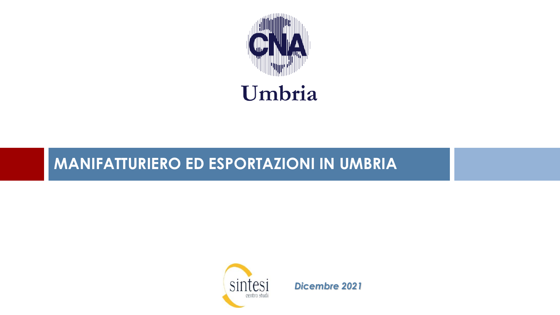

# Umbria

## **MANIFATTURIERO ED ESPORTAZIONI IN UMBRIA**



*Dicembre 2021*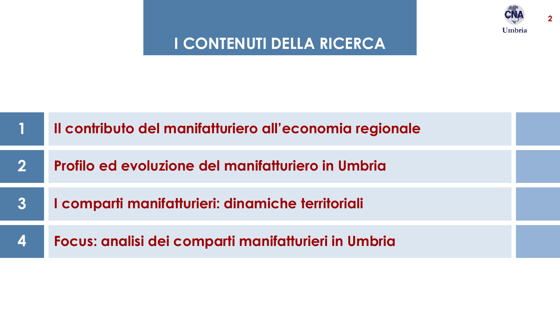

**2**

## **I CONTENUTI DELLA RICERCA**

|                          | Il contributo del manifatturiero all'economia regionale |  |
|--------------------------|---------------------------------------------------------|--|
| <b>21</b>                | Profilo ed evoluzione del manifatturiero in Umbria      |  |
| $\boldsymbol{3}$         | I comparti manifatturieri: dinamiche territoriali       |  |
| $\boldsymbol{\varDelta}$ | Focus: analisi dei comparti manifatturieri in Umbria    |  |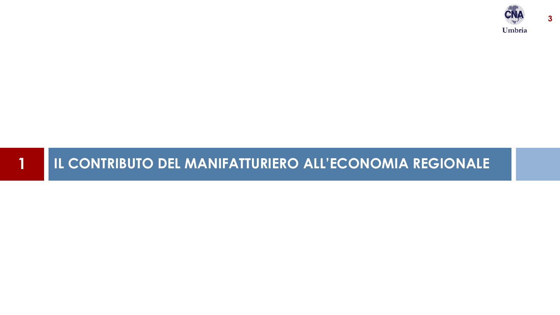

## **IL CONTRIBUTO DEL MANIFATTURIERO ALL'ECONOMIA REGIONALE**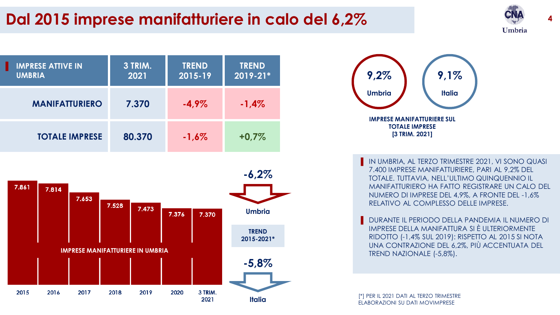# **Dal 2015 imprese manifatturiere in calo del 6,2%**









IN UMBRIA, AL TERZO TRIMESTRE 2021, VI SONO QUASI 7.400 IMPRESE MANIFATTURIERE, PARI AL 9,2% DEL TOTALE. TUTTAVIA, NELL'ULTIMO QUINQUENNIO IL MANIFATTURIERO HA FATTO REGISTRARE UN CALO DEL NUMERO DI IMPRESE DEL 4,9%, A FRONTE DEL -1,6% RELATIVO AL COMPLESSO DELLE IMPRESE.

DURANTE IL PERIODO DELLA PANDEMIA IL NUMERO DI IMPRESE DELLA MANIFATTURA SI È ULTERIORMENTE RIDOTTO (-1,4% SUL 2019): RISPETTO AL 2015 SI NOTA UNA CONTRAZIONE DEL 6,2%, PIÙ ACCENTUATA DEL TREND NAZIONALE (-5,8%).

[\*] PER IL 2021 DATI AL TERZO TRIMESTRE ELABORAZIONI SU DATI MOVIMPRESE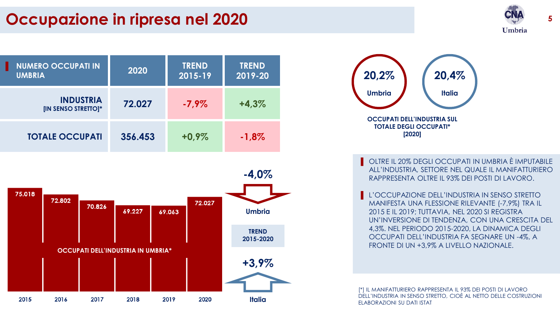## **Occupazione in ripresa nel 2020 5**



| <b>NUMERO OCCUPATI IN</b><br><b>UMBRIA</b>     | 2020    | <b>TREND</b><br>2015-19 | <b>TREND</b><br>2019-20 |
|------------------------------------------------|---------|-------------------------|-------------------------|
| <b>INDUSTRIA</b><br><b>IIN SENSO STRETTOI*</b> | 72.027  | $-7,9\%$                | $+4.3%$                 |
| <b>TOTALE OCCUPATI</b>                         | 356.453 | $+0.9\%$                | $-1,8%$                 |





OLTRE IL 20% DEGLI OCCUPATI IN UMBRIA È IMPUTABILE ALL'INDUSTRIA, SETTORE NEL QUALE IL MANIFATTURIERO RAPPRESENTA OLTRE IL 93% DEI POSTI DI LAVORO.

L'OCCUPAZIONE DELL'INDUSTRIA IN SENSO STRETTO MANIFESTA UNA FLESSIONE RILEVANTE (-7,9%) TRA IL 2015 E IL 2019; TUTTAVIA, NEL 2020 SI REGISTRA UN'INVERSIONE DI TENDENZA, CON UNA CRESCITA DEL 4,3%. NEL PERIODO 2015-2020, LA DINAMICA DEGLI OCCUPATI DELL'INDUSTRIA FA SEGNARE UN -4%, A FRONTE DI UN +3,9% A LIVELLO NAZIONALE.

[\*] IL MANIFATTURIERO RAPPRESENTA IL 93% DEI POSTI DI LAVORO DELL'INDUSTRIA IN SENSO STRETTO, CIOÈ AL NETTO DELLE COSTRUZIONI ELABORAZIONI SU DATI ISTAT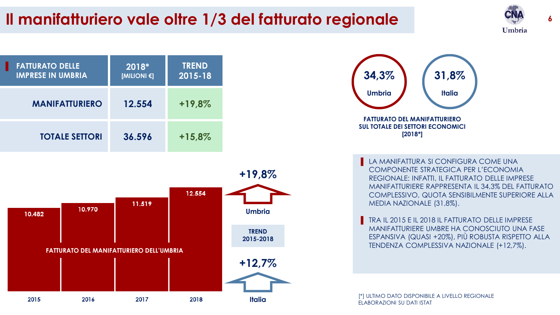## **Il manifatturiero vale oltre 1/3 del fatturato regionale**









LA MANIFATTURA SI CONFIGURA COME UNA COMPONENTE STRATEGICA PER L'ECONOMIA REGIONALE: INFATTI, IL FATTURATO DELLE IMPRESE MANIFATTURIERE RAPPRESENTA IL 34,3% DEL FATTURATO COMPLESSIVO, QUOTA SENSIBILMENTE SUPERIORE ALLA MEDIA NAZIONALE (31,8%).

TRA IL 2015 E IL 2018 IL FATTURATO DELLE IMPRESE MANIFATTURIERE UMBRE HA CONOSCIUTO UNA FASE ESPANSIVA (QUASI +20%), PIÙ ROBUSTA RISPETTO ALLA TENDENZA COMPLESSIVA NAZIONALE (+12,7%).

[\*] ULTIMO DATO DISPONIBILE A LIVELLO REGIONALE ELABORAZIONI SU DATI ISTAT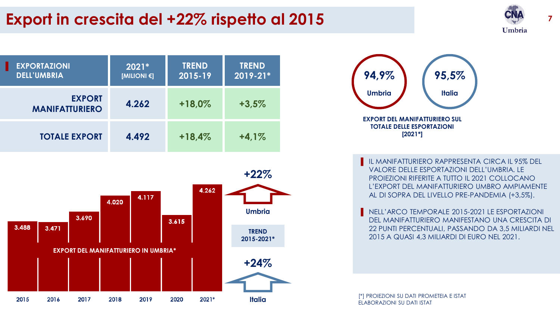







IL MANIFATTURIERO RAPPRESENTA CIRCA IL 95% DEL VALORE DELLE ESPORTAZIONI DELL'UMBRIA. LE PROIEZIONI RIFERITE A TUTTO IL 2021 COLLOCANO L'EXPORT DEL MANIFATTURIERO UMBRO AMPIAMENTE AL DI SOPRA DEL LIVELLO PRE-PANDEMIA (+3,5%).

NELL'ARCO TEMPORALE 2015-2021 LE ESPORTAZIONI DEL MANIFATTURIERO MANIFESTANO UNA CRESCITA DI 22 PUNTI PERCENTUALI, PASSANDO DA 3,5 MILIARDI NEL 2015 A QUASI 4,3 MILIARDI DI EURO NEL 2021.

[\*] PROIEZIONI SU DATI PROMETEIA E ISTAT ELABORAZIONI SU DATI ISTAT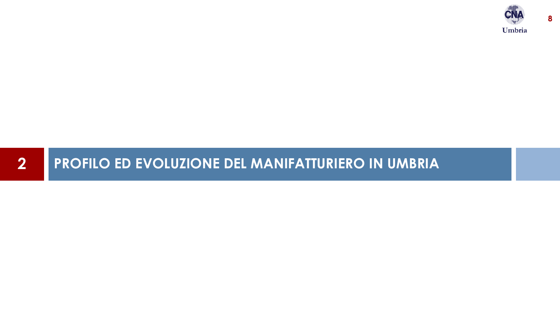

## **PROFILO ED EVOLUZIONE DEL MANIFATTURIERO IN UMBRIA**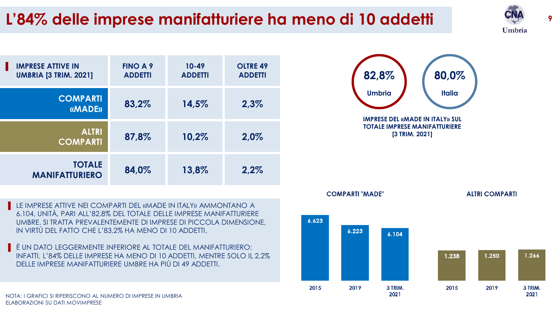# **<sup>9</sup> L'84% delle imprese manifatturiere ha meno di 10 addetti**







▐ È UN DATO LEGGERMENTE INFERIORE AL TOTALE DEL MANIFATTURIERO: INFATTI, L'84% DELLE IMPRESE HA MENO DI 10 ADDETTI, MENTRE SOLO IL 2,2% DELLE IMPRESE MANIFATTURIERE UMBRE HA PIÙ DI 49 ADDETTI.



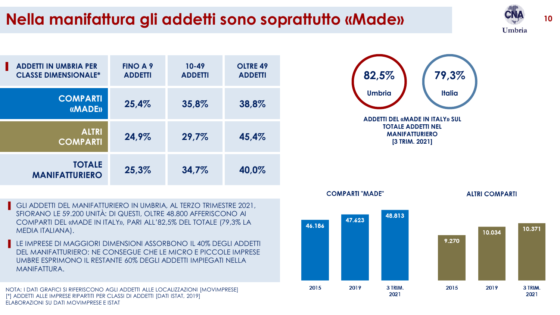# **Nella manifattura gli addetti sono soprattutto «Made» <sup>10</sup>**





- GLI ADDETTI DEL MANIFATTURIERO IN UMBRIA, AL TERZO TRIMESTRE 2021, SFIORANO LE 59.200 UNITÀ: DI QUESTI, OLTRE 48.800 AFFERISCONO AI COMPARTI DEL «MADE IN ITALY», PARI ALL'82,5% DEL TOTALE (79,3% LA MEDIA ITALIANA).
- LE IMPRESE DI MAGGIORI DIMENSIONI ASSORBONO IL 40% DEGLI ADDETTI DEL MANIFATTURIERO: NE CONSEGUE CHE LE MICRO E PICCOLE IMPRESE UMBRE ESPRIMONO IL RESTANTE 60% DEGLI ADDETTI IMPIEGATI NELLA MANIFATTURA.

NOTA: I DATI GRAFICI SI RIFERISCONO AGLI ADDETTI ALLE LOCALIZZAZIONI [MOVIMPRESE] [\*] ADDETTI ALLE IMPRESE RIPARTITI PER CLASSI DI ADDETTI [DATI ISTAT, 2019] ELABORAZIONI SU DATI MOVIMPRESE E ISTAT



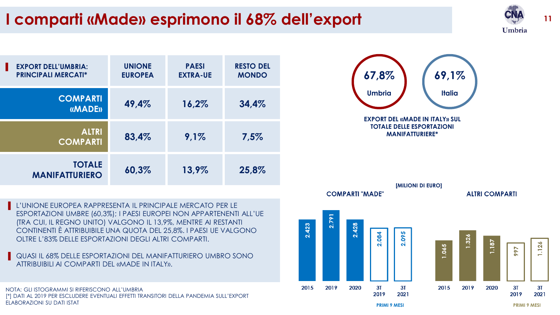# **<sup>11</sup> I comparti «Made» esprimono il 68% dell'export**



| <b>EXPORT DELL'UMBRIA:</b><br>п<br><b>PRINCIPALI MERCATI*</b> | <b>UNIONE</b><br><b>EUROPEA</b> | <b>PAESI</b><br><b>EXTRA-UE</b> | <b>RESTO DEL</b><br><b>MONDO</b> |
|---------------------------------------------------------------|---------------------------------|---------------------------------|----------------------------------|
| <b>COMPARTI</b><br><b>«MADE»</b>                              | 49,4%                           | 16,2%                           | 34,4%                            |
| <b>ALTRI</b><br><b>COMPARTI</b>                               | 83,4%                           | 9,1%                            | 7,5%                             |
| <b>TOTALE</b><br><b>MANIFATTURIERO</b>                        | 60,3%                           | 13,9%                           | 25,8%                            |



QUASI IL 68% DELLE ESPORTAZIONI DEL MANIFATTURIERO UMBRO SONO ATTRIBUIBILI AI COMPARTI DEL «MADE IN ITALY».

NOTA: GLI ISTOGRAMMI SI RIFERISCONO ALL'UMBRIA [\*] DATI AL 2019 PER ESCLUDERE EVENTUALI EFFETTI TRANSITORI DELLA PANDEMIA SULL'EXPORT ELABORAZIONI SU DATI ISTAT



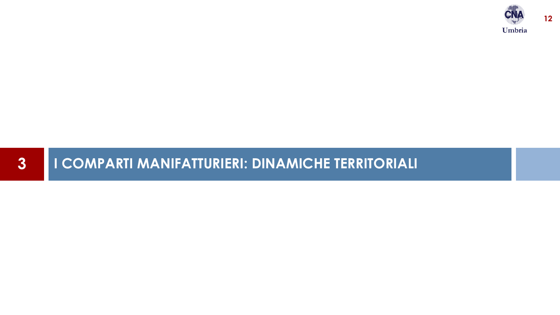

## **I COMPARTI MANIFATTURIERI: DINAMICHE TERRITORIALI**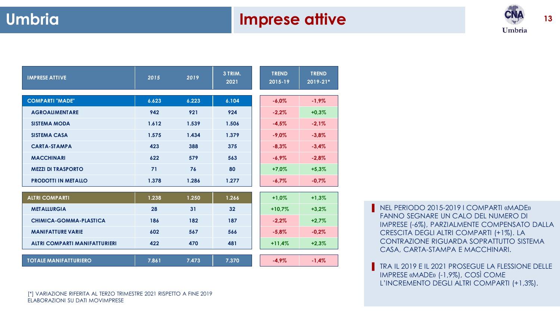#### **Umbria Imprese attive**

**TREND 2019-21\***



| <b>IMPRESE ATTIVE</b>      | 2015  | 2019  | 3 TRIM.<br>2021 | <b>TREND</b><br>2015-19 | <b>TREND</b><br>2019-21 |
|----------------------------|-------|-------|-----------------|-------------------------|-------------------------|
| <b>COMPARTI "MADE"</b>     | 6.623 | 6.223 | 6.104           | $-6.0%$                 | $-1,9\%$                |
| <b>AGROALIMENTARE</b>      | 942   | 921   | 924             | $-2,2%$                 | $+0.3%$                 |
| <b>SISTEMA MODA</b>        | 1.612 | 1.539 | 1.506           | $-4.5%$                 | $-2.1%$                 |
| <b>SISTEMA CASA</b>        | 1.575 | 1.434 | 1.379           | $-9.0\%$                | $-3,8%$                 |
| <b>CARTA-STAMPA</b>        | 423   | 388   | 375             | $-8,3%$                 | $-3,4%$                 |
| <b>MACCHINARI</b>          | 622   | 579   | 563             | $-6.9\%$                | $-2,8%$                 |
| <b>MEZZI DI TRASPORTO</b>  | 71    | 76    | 80              | $+7.0%$                 | $+5,3%$                 |
| <b>PRODOTTI IN METALLO</b> | 1.378 | 1.286 | 1.277           | $-6.7\%$                | $-0.7%$                 |
|                            |       |       |                 |                         |                         |
| <b>ALTRI COMPARTI</b>      | 1.238 | 1.250 | 1.266           | $+1,0%$                 | $+1,3%$                 |
| <b>METALLURGIA</b>         | 28    | 31    | 32              | $+10,7%$                | $+3,2%$                 |
|                            |       |       |                 |                         |                         |

| <b>ALTRI COMPARTI</b>                | 1.238 | 1.250 | 1.266 | $+1.0%$  | $+1,3%$ |
|--------------------------------------|-------|-------|-------|----------|---------|
| <b>METALLURGIA</b>                   | 28    | 31    | 32    | $+10.7%$ | $+3,2%$ |
| CHIMICA-GOMMA-PLASTICA               | 186   | 182   | 187   | $-2,2%$  | $+2,7%$ |
| <b>MANIFATTURE VARIE</b>             | 602   | 567   | 566   | $-5.8\%$ | $-0.2%$ |
| <b>ALTRI COMPARTI MANIFATTURIERI</b> | 422   | 470   | 481   | $+11,4%$ | $+2,3%$ |
|                                      |       |       |       |          |         |
| <b>TOTALE MANIFATTURIERO</b>         | 7.861 | 7.473 | 7.370 | $-4.9%$  | $-1.4%$ |

**NEL PERIODO 2015-2019 I COMPARTI «MADE»** FANNO SEGNARE UN CALO DEL NUMERO DI IMPRESE (-6%), PARZIALMENTE COMPENSATO DALLA CRESCITA DEGLI ALTRI COMPARTI (+1%). LA CONTRAZIONE RIGUARDA SOPRATTUTTO SISTEMA CASA, CARTA-STAMPA E MACCHINARI.

▐ TRA IL 2019 E IL 2021 PROSEGUE LA FLESSIONE DELLE IMPRESE «MADE» (-1,9%), COSÌ COME L'INCREMENTO DEGLI ALTRI COMPARTI (+1,3%).

[\*] VARIAZIONE RIFERITA AL TERZO TRIMESTRE 2021 RISPETTO A FINE 2019 ELABORAZIONI SU DATI MOVIMPRESE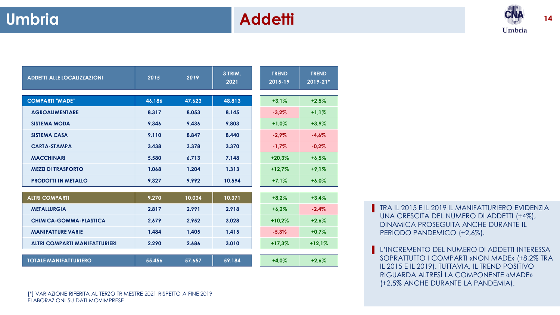## **Umbria Addetti**



| <b>ADDETTI ALLE LOCALIZZAZIONI</b>   | 2015   | 2019   | 3 TRIM.<br>2021 | <b>TREND</b><br>2015-19 | <b>TREND</b><br>2019-21* |
|--------------------------------------|--------|--------|-----------------|-------------------------|--------------------------|
| <b>COMPARTI "MADE"</b>               | 46.186 | 47.623 | 48.813          | $+3.1%$                 | $+2.5%$                  |
| <b>AGROALIMENTARE</b>                | 8.317  | 8.053  | 8.145           | $-3,2%$                 | $+1,1%$                  |
| <b>SISTEMA MODA</b>                  | 9.346  | 9.436  | 9.803           | $+1,0%$                 | $+3,9%$                  |
| <b>SISTEMA CASA</b>                  | 9.110  | 8.847  | 8.440           | $-2.9\%$                | $-4,6%$                  |
| <b>CARTA-STAMPA</b>                  | 3.438  | 3.378  | 3.370           | $-1.7\%$                | $-0.2%$                  |
| <b>MACCHINARI</b>                    | 5.580  | 6.713  | 7.148           | $+20.3%$                | $+6,5%$                  |
| <b>MEZZI DI TRASPORTO</b>            | 1.068  | 1.204  | 1.313           | $+12.7%$                | $+9,1%$                  |
| <b>PRODOTTI IN METALLO</b>           | 9.327  | 9.992  | 10.594          | $+7,1%$                 | $+6.0%$                  |
|                                      |        |        |                 |                         |                          |
| <b>ALTRI COMPARTI</b>                | 9.270  | 10.034 | 10.371          | $+8,2%$                 | $+3,4%$                  |
| <b>METALLURGIA</b>                   | 2.817  | 2.991  | 2.918           | $+6.2%$                 | $-2,4%$                  |
| CHIMICA-GOMMA-PLASTICA               | 2.679  | 2.952  | 3.028           | $+10,2%$                | $+2,6%$                  |
| <b>MANIFATTURE VARIE</b>             | 1.484  | 1.405  | 1.415           | $-5,3%$                 | $+0.7%$                  |
| <b>ALTRI COMPARTI MANIFATTURIERI</b> | 2.290  | 2.686  | 3.010           | $+17.3%$                | $+12.1%$                 |

| $\sim$ . The state of the state of the state $\sim$ | ----   | $\sim\!\sim\!\sim$ | $\cdots$ |         |       |
|-----------------------------------------------------|--------|--------------------|----------|---------|-------|
|                                                     |        |                    |          |         |       |
| <b>TOTALE MANIFATTURIERO</b>                        | 55.456 | 57.657             | 59.184   | $+4.0%$ | +2,6% |

**F** TRA IL 2015 E IL 2019 IL MANIFATTURIERO EVIDENZIA UNA CRESCITA DEL NUMERO DI ADDETTI (+4%), DINAMICA PROSEGUITA ANCHE DURANTE IL PERIODO PANDEMICO (+2,6%).

L'INCREMENTO DEL NUMERO DI ADDETTI INTERESSA SOPRATTUTTO I COMPARTI «NON MADE» (+8,2% TRA IL 2015 E IL 2019). TUTTAVIA, IL TREND POSITIVO RIGUARDA ALTRESÌ LA COMPONENTE «MADE» (+2,5% ANCHE DURANTE LA PANDEMIA).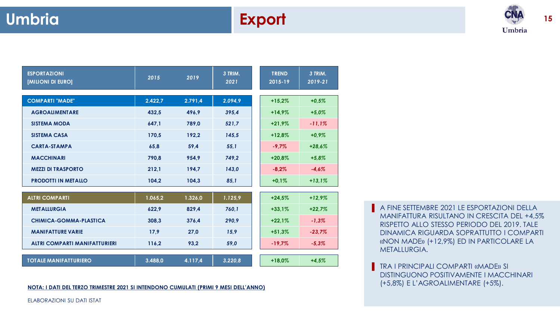

**15**

| <b>ESPORTAZIONI</b><br><b>IMILIONI DI EURO]</b> | 2015    | 2019    | 3 TRIM.<br>2021 | <b>TREND</b><br>2015-19 | 3 TRIM.<br>2019-21 |
|-------------------------------------------------|---------|---------|-----------------|-------------------------|--------------------|
| <b>COMPARTI "MADE"</b>                          | 2.422,7 | 2.791,4 | 2.094,9         | $+15,2%$                | $+0.5%$            |
| <b>AGROALIMENTARE</b>                           | 432.5   | 496,9   | 395.4           | $+14.9%$                | $+5.0%$            |
| <b>SISTEMA MODA</b>                             | 647.1   | 789,0   | 521,7           | $+21.9%$                | $-11.1%$           |
| <b>SISTEMA CASA</b>                             | 170.5   | 192,2   | 145,5           | $+12.8%$                | $+0.9%$            |
| <b>CARTA-STAMPA</b>                             | 65,8    | 59,4    | 55,1            | $-9.7\%$                | $+28,6%$           |
| <b>MACCHINARI</b>                               | 790.8   | 954,9   | 749.2           | $+20.8%$                | $+5,8%$            |
| <b>MEZZI DI TRASPORTO</b>                       | 212,1   | 194,7   | 143,0           | $-8,2%$                 | $-4.6%$            |
| <b>PRODOTTI IN METALLO</b>                      | 104.2   | 104.3   | 85,1            | $+0.1%$                 | $+13.1%$           |

| <b>ALTRI COMPARTI</b>                | 1.065,2 | 1.326.0 | 1.125,9 | $+24.5%$  | $+12.9\%$ |
|--------------------------------------|---------|---------|---------|-----------|-----------|
| <b>METALLURGIA</b>                   | 622.9   | 829.4   | 760,1   | $+33.1%$  | $+22.7%$  |
| CHIMICA-GOMMA-PLASTICA               | 308.3   | 376.4   | 290.9   | $+22.1%$  | $-1,3%$   |
| <b>MANIFATTURE VARIE</b>             | 17.9    | 27.0    | 15.9    | $+51,3%$  | $-23.7%$  |
| <b>ALTRI COMPARTI MANIFATTURIERI</b> | 116.2   | 93.2    | 59.0    | $-19,7\%$ | $-5.3%$   |
|                                      |         |         |         |           |           |
| <b>TOTALE MANIFATTURIERO</b>         | 3.488,0 | 4.117.4 | 3.220.8 | $+18.0%$  | $+4.5%$   |

(+5,8%) E L'AGROALIMENTARE (+5%). **NOTA: I DATI DEL TERZO TRIMESTRE 2021 SI INTENDONO CUMULATI (PRIMI 9 MESI DELL'ANNO)**

■ A FINE SETTEMBRE 2021 LE ESPORTAZIONI DELLA MANIFATTURA RISULTANO IN CRESCITA DEL +4,5% RISPETTO ALLO STESSO PERIODO DEL 2019. TALE DINAMICA RIGUARDA SOPRATTUTTO I COMPARTI «NON MADE» (+12,9%) ED IN PARTICOLARE LA METALLURGIA.

**TRA I PRINCIPALI COMPARTI «MADE» SI** DISTINGUONO POSITIVAMENTE I MACCHINARI

ELABORAZIONI SU DATI ISTAT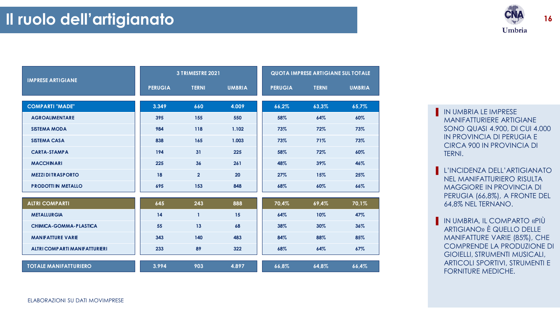

**16**

|                                      | 3 TRIMESTRE 2021 |                |               | QUOTA IMPRESE ARTIGIANE SULTOTALE |              |               |  |
|--------------------------------------|------------------|----------------|---------------|-----------------------------------|--------------|---------------|--|
| <b>IMPRESE ARTIGIANE</b>             | <b>PERUGIA</b>   | <b>TERNI</b>   | <b>UMBRIA</b> | <b>PERUGIA</b>                    | <b>TERNI</b> | <b>UMBRIA</b> |  |
| <b>COMPARTI "MADE"</b>               | 3.349            | 660            | 4.009         | 66.2%                             | 63.3%        | 65,7%         |  |
| <b>AGROALIMENTARE</b>                | 395              | 155            | 550           | 58%                               | 64%          | 60%           |  |
| <b>SISTEMA MODA</b>                  | 984              | 118            | 1.102         | 73%                               | 72%          | 73%           |  |
| <b>SISTEMA CASA</b>                  | 838              | 165            | 1.003         | 73%                               | 71%          | 73%           |  |
| <b>CARTA-STAMPA</b>                  | 194              | 31             | 225           | 58%                               | 72%          | 60%           |  |
| <b>MACCHINARI</b>                    | 225              | 36             | 261           | 48%                               | 39%          | 46%           |  |
| <b>MEZZI DI TRASPORTO</b>            | 18               | $\overline{2}$ | 20            | 27%                               | 15%          | 25%           |  |
| <b>PRODOTTI IN METALLO</b>           | 695              | 153            | 848           | 68%                               | 60%          | 66%           |  |
| <b>ALTRI COMPARTI</b>                | 645              | 243            | 888           | 70,4%                             | 69,4%        | 70,1%         |  |
| <b>METALLURGIA</b>                   | 14               | $\mathbf{1}$   | 15            | 64%                               | 10%          | 47%           |  |
| CHIMICA-GOMMA-PLASTICA               | 55               | 13             | 68            | 38%                               | 30%          | 36%           |  |
| <b>MANIFATTURE VARIE</b>             | 343              | 140            | 483           | 84%                               | 88%          | 85%           |  |
| <b>ALTRI COMPARTI MANIFATTURIERI</b> | 233              | 89             | 322           | 68%                               | 64%          | 67%           |  |
| <b>TOTALE MANIFATTURIERO</b>         | 3.994            | 903            | 4.897         | 66,8%                             | 64,8%        | 66,4%         |  |

- **IN UMBRIA LE IMPRESE** MANIFATTURIERE ARTIGIANE SONO QUASI 4.900, DI CUI 4.000 IN PROVINCIA DI PERUGIA E CIRCA 900 IN PROVINCIA DI TERNI.
- **EL'INCIDENZA DELL'ARTIGIANATO** NEL MANIFATTURIERO RISULTA MAGGIORE IN PROVINCIA DI PERUGIA (66,8%), A FRONTE DEL 64,8% NEL TERNANO.
- **IN UMBRIA, IL COMPARTO «PIÙ** ARTIGIANO» È QUELLO DELLE MANIFATTURE VARIE (85%), CHE COMPRENDE LA PRODUZIONE DI GIOIELLI, STRUMENTI MUSICALI, ARTICOLI SPORTIVI, STRUMENTI E FORNITURE MEDICHE.